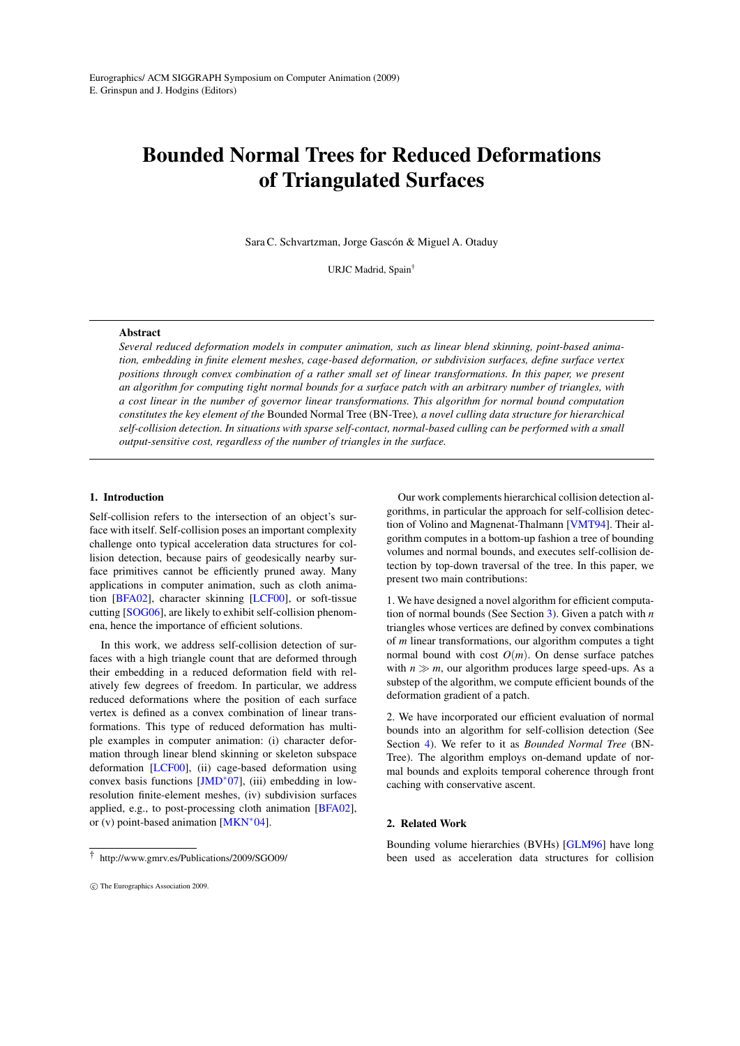# Bounded Normal Trees for Reduced Deformations of Triangulated Surfaces

Sara C. Schvartzman, Jorge Gascón & Miguel A. Otaduy

URJC Madrid, Spain†

# Abstract

*Several reduced deformation models in computer animation, such as linear blend skinning, point-based animation, embedding in finite element meshes, cage-based deformation, or subdivision surfaces, define surface vertex positions through convex combination of a rather small set of linear transformations. In this paper, we present an algorithm for computing tight normal bounds for a surface patch with an arbitrary number of triangles, with a cost linear in the number of governor linear transformations. This algorithm for normal bound computation constitutes the key element of the* Bounded Normal Tree (BN-Tree)*, a novel culling data structure for hierarchical self-collision detection. In situations with sparse self-contact, normal-based culling can be performed with a small output-sensitive cost, regardless of the number of triangles in the surface.*

# 1. Introduction

Self-collision refers to the intersection of an object's surface with itself. Self-collision poses an important complexity challenge onto typical acceleration data structures for collision detection, because pairs of geodesically nearby surface primitives cannot be efficiently pruned away. Many applications in computer animation, such as cloth animation [\[BFA02\]](#page-6-0), character skinning [\[LCF00\]](#page-7-0), or soft-tissue cutting [\[SOG06\]](#page-7-1), are likely to exhibit self-collision phenomena, hence the importance of efficient solutions.

In this work, we address self-collision detection of surfaces with a high triangle count that are deformed through their embedding in a reduced deformation field with relatively few degrees of freedom. In particular, we address reduced deformations where the position of each surface vertex is defined as a convex combination of linear transformations. This type of reduced deformation has multiple examples in computer animation: (i) character deformation through linear blend skinning or skeleton subspace deformation [\[LCF00\]](#page-7-0), (ii) cage-based deformation using convex basis functions [\[JMD](#page-7-2)∗07], (iii) embedding in lowresolution finite-element meshes, (iv) subdivision surfaces applied, e.g., to post-processing cloth animation [\[BFA02\]](#page-6-0), or (v) point-based animation [\[MKN](#page-7-3)∗04].

Our work complements hierarchical collision detection algorithms, in particular the approach for self-collision detection of Volino and Magnenat-Thalmann [\[VMT94\]](#page-7-4). Their algorithm computes in a bottom-up fashion a tree of bounding volumes and normal bounds, and executes self-collision detection by top-down traversal of the tree. In this paper, we present two main contributions:

1. We have designed a novel algorithm for efficient computation of normal bounds (See Section [3\)](#page-2-0). Given a patch with *n* triangles whose vertices are defined by convex combinations of *m* linear transformations, our algorithm computes a tight normal bound with cost  $O(m)$ . On dense surface patches with  $n \gg m$ , our algorithm produces large speed-ups. As a substep of the algorithm, we compute efficient bounds of the deformation gradient of a patch.

2. We have incorporated our efficient evaluation of normal bounds into an algorithm for self-collision detection (See Section [4\)](#page-4-0). We refer to it as *Bounded Normal Tree* (BN-Tree). The algorithm employs on-demand update of normal bounds and exploits temporal coherence through front caching with conservative ascent.

# 2. Related Work

Bounding volume hierarchies (BVHs) [\[GLM96\]](#page-7-5) have long been used as acceleration data structures for collision

<sup>†</sup> http://www.gmrv.es/Publications/2009/SGO09/

c The Eurographics Association 2009.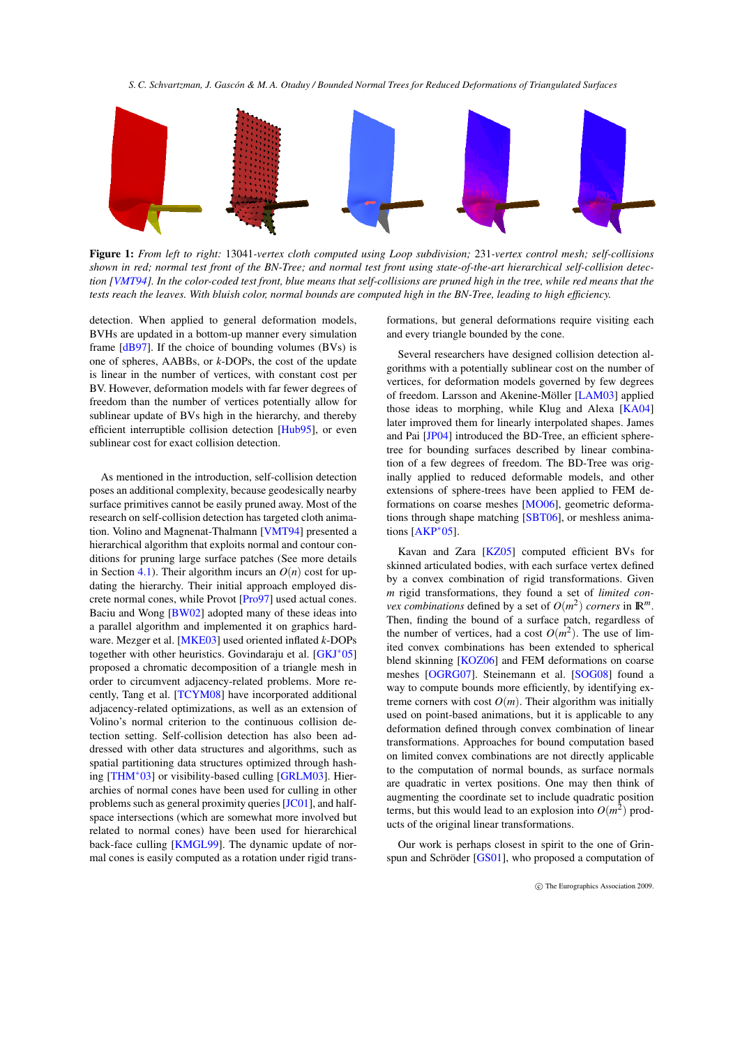

<span id="page-1-0"></span>Figure 1: *From left to right:* 13041*-vertex cloth computed using Loop subdivision;* 231*-vertex control mesh; self-collisions shown in red; normal test front of the BN-Tree; and normal test front using state-of-the-art hierarchical self-collision detection [\[VMT94\]](#page-7-4). In the color-coded test front, blue means that self-collisions are pruned high in the tree, while red means that the tests reach the leaves. With bluish color, normal bounds are computed high in the BN-Tree, leading to high efficiency.*

detection. When applied to general deformation models, BVHs are updated in a bottom-up manner every simulation frame  $[dB97]$ . If the choice of bounding volumes  $(BVs)$  is one of spheres, AABBs, or *k*-DOPs, the cost of the update is linear in the number of vertices, with constant cost per BV. However, deformation models with far fewer degrees of freedom than the number of vertices potentially allow for sublinear update of BVs high in the hierarchy, and thereby efficient interruptible collision detection [\[Hub95\]](#page-7-7), or even sublinear cost for exact collision detection.

As mentioned in the introduction, self-collision detection poses an additional complexity, because geodesically nearby surface primitives cannot be easily pruned away. Most of the research on self-collision detection has targeted cloth animation. Volino and Magnenat-Thalmann [\[VMT94\]](#page-7-4) presented a hierarchical algorithm that exploits normal and contour conditions for pruning large surface patches (See more details in Section [4.1\)](#page-4-1). Their algorithm incurs an  $O(n)$  cost for updating the hierarchy. Their initial approach employed discrete normal cones, while Provot [\[Pro97\]](#page-7-8) used actual cones. Baciu and Wong [\[BW02\]](#page-6-1) adopted many of these ideas into a parallel algorithm and implemented it on graphics hardware. Mezger et al. [\[MKE03\]](#page-7-9) used oriented inflated *k*-DOPs together with other heuristics. Govindaraju et al. [\[GKJ](#page-7-10)∗05] proposed a chromatic decomposition of a triangle mesh in order to circumvent adjacency-related problems. More recently, Tang et al. [\[TCYM08\]](#page-7-11) have incorporated additional adjacency-related optimizations, as well as an extension of Volino's normal criterion to the continuous collision detection setting. Self-collision detection has also been addressed with other data structures and algorithms, such as spatial partitioning data structures optimized through hashing [\[THM](#page-7-12)∗03] or visibility-based culling [\[GRLM03\]](#page-7-13). Hierarchies of normal cones have been used for culling in other problems such as general proximity queries [\[JC01\]](#page-7-14), and halfspace intersections (which are somewhat more involved but related to normal cones) have been used for hierarchical back-face culling [\[KMGL99\]](#page-7-15). The dynamic update of normal cones is easily computed as a rotation under rigid transformations, but general deformations require visiting each and every triangle bounded by the cone.

Several researchers have designed collision detection algorithms with a potentially sublinear cost on the number of vertices, for deformation models governed by few degrees of freedom. Larsson and Akenine-Möller [\[LAM03\]](#page-7-16) applied those ideas to morphing, while Klug and Alexa [\[KA04\]](#page-7-17) later improved them for linearly interpolated shapes. James and Pai [\[JP04\]](#page-7-18) introduced the BD-Tree, an efficient spheretree for bounding surfaces described by linear combination of a few degrees of freedom. The BD-Tree was originally applied to reduced deformable models, and other extensions of sphere-trees have been applied to FEM deformations on coarse meshes [\[MO06\]](#page-7-19), geometric deformations through shape matching [\[SBT06\]](#page-7-20), or meshless animations [\[AKP](#page-6-2)∗05].

Kavan and Zara [\[KZ05\]](#page-7-21) computed efficient BVs for skinned articulated bodies, with each surface vertex defined by a convex combination of rigid transformations. Given *m* rigid transformations, they found a set of *limited convex combinations* defined by a set of  $O(m^2)$  *corners* in  $\mathbb{R}^m$ . Then, finding the bound of a surface patch, regardless of the number of vertices, had a cost  $O(m^2)$ . The use of limited convex combinations has been extended to spherical blend skinning [\[KOZ06\]](#page-7-22) and FEM deformations on coarse meshes [\[OGRG07\]](#page-7-23). Steinemann et al. [\[SOG08\]](#page-7-24) found a way to compute bounds more efficiently, by identifying extreme corners with cost  $O(m)$ . Their algorithm was initially used on point-based animations, but it is applicable to any deformation defined through convex combination of linear transformations. Approaches for bound computation based on limited convex combinations are not directly applicable to the computation of normal bounds, as surface normals are quadratic in vertex positions. One may then think of augmenting the coordinate set to include quadratic position terms, but this would lead to an explosion into  $O(m^2)$  products of the original linear transformations.

Our work is perhaps closest in spirit to the one of Grinspun and Schröder [\[GS01\]](#page-7-25), who proposed a computation of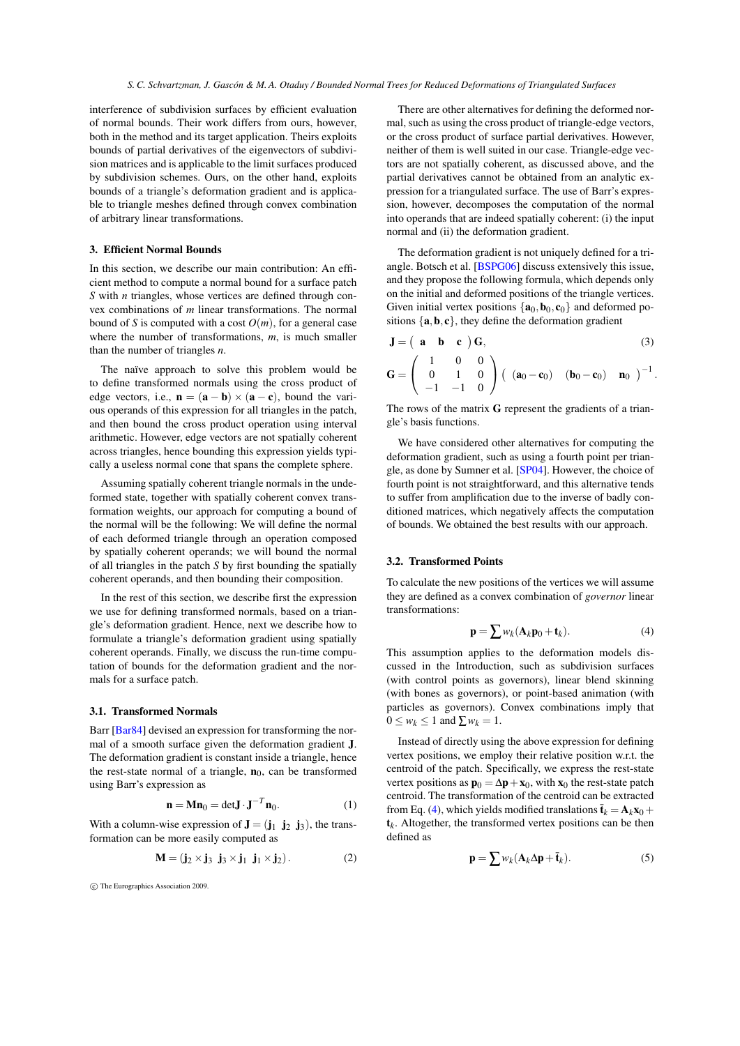interference of subdivision surfaces by efficient evaluation of normal bounds. Their work differs from ours, however, both in the method and its target application. Theirs exploits bounds of partial derivatives of the eigenvectors of subdivision matrices and is applicable to the limit surfaces produced by subdivision schemes. Ours, on the other hand, exploits bounds of a triangle's deformation gradient and is applicable to triangle meshes defined through convex combination of arbitrary linear transformations.

# <span id="page-2-0"></span>3. Efficient Normal Bounds

In this section, we describe our main contribution: An efficient method to compute a normal bound for a surface patch *S* with *n* triangles, whose vertices are defined through convex combinations of *m* linear transformations. The normal bound of *S* is computed with a cost  $O(m)$ , for a general case where the number of transformations, *m*, is much smaller than the number of triangles *n*.

The naïve approach to solve this problem would be to define transformed normals using the cross product of edge vectors, i.e.,  $\mathbf{n} = (\mathbf{a} - \mathbf{b}) \times (\mathbf{a} - \mathbf{c})$ , bound the various operands of this expression for all triangles in the patch, and then bound the cross product operation using interval arithmetic. However, edge vectors are not spatially coherent across triangles, hence bounding this expression yields typically a useless normal cone that spans the complete sphere.

Assuming spatially coherent triangle normals in the undeformed state, together with spatially coherent convex transformation weights, our approach for computing a bound of the normal will be the following: We will define the normal of each deformed triangle through an operation composed by spatially coherent operands; we will bound the normal of all triangles in the patch *S* by first bounding the spatially coherent operands, and then bounding their composition.

In the rest of this section, we describe first the expression we use for defining transformed normals, based on a triangle's deformation gradient. Hence, next we describe how to formulate a triangle's deformation gradient using spatially coherent operands. Finally, we discuss the run-time computation of bounds for the deformation gradient and the normals for a surface patch.

## 3.1. Transformed Normals

Barr [\[Bar84\]](#page-6-3) devised an expression for transforming the normal of a smooth surface given the deformation gradient J. The deformation gradient is constant inside a triangle, hence the rest-state normal of a triangle,  $n_0$ , can be transformed using Barr's expression as

<span id="page-2-6"></span><span id="page-2-5"></span>
$$
\mathbf{n} = \mathbf{M}\mathbf{n}_0 = \det \mathbf{J} \cdot \mathbf{J}^{-T} \mathbf{n}_0.
$$
 (1)

With a column-wise expression of  $\mathbf{J} = (\mathbf{j}_1 \ \mathbf{j}_2 \ \mathbf{j}_3)$ , the transformation can be more easily computed as

$$
\mathbf{M} = (\mathbf{j}_2 \times \mathbf{j}_3 \ \mathbf{j}_3 \times \mathbf{j}_1 \ \mathbf{j}_1 \times \mathbf{j}_2). \tag{2}
$$

c The Eurographics Association 2009.

There are other alternatives for defining the deformed normal, such as using the cross product of triangle-edge vectors, or the cross product of surface partial derivatives. However, neither of them is well suited in our case. Triangle-edge vectors are not spatially coherent, as discussed above, and the partial derivatives cannot be obtained from an analytic expression for a triangulated surface. The use of Barr's expression, however, decomposes the computation of the normal into operands that are indeed spatially coherent: (i) the input normal and (ii) the deformation gradient.

The deformation gradient is not uniquely defined for a triangle. Botsch et al. [\[BSPG06\]](#page-6-4) discuss extensively this issue, and they propose the following formula, which depends only on the initial and deformed positions of the triangle vertices. Given initial vertex positions  $\{a_0, b_0, c_0\}$  and deformed positions  $\{a, b, c\}$ , they define the deformation gradient

<span id="page-2-3"></span>
$$
\mathbf{J} = \begin{pmatrix} \mathbf{a} & \mathbf{b} & \mathbf{c} \end{pmatrix} \mathbf{G},\tag{3}
$$

$$
\mathbf{G} = \left( \begin{array}{ccc} 1 & 0 & 0 \\ 0 & 1 & 0 \\ -1 & -1 & 0 \end{array} \right) \left( \begin{array}{ccc} (\mathbf{a}_0 - \mathbf{c}_0) & (\mathbf{b}_0 - \mathbf{c}_0) & \mathbf{n}_0 \end{array} \right)^{-1}.
$$

The rows of the matrix G represent the gradients of a triangle's basis functions.

We have considered other alternatives for computing the deformation gradient, such as using a fourth point per triangle, as done by Sumner et al. [\[SP04\]](#page-7-26). However, the choice of fourth point is not straightforward, and this alternative tends to suffer from amplification due to the inverse of badly conditioned matrices, which negatively affects the computation of bounds. We obtained the best results with our approach.

## <span id="page-2-4"></span>3.2. Transformed Points

To calculate the new positions of the vertices we will assume they are defined as a convex combination of *governor* linear transformations:

<span id="page-2-1"></span>
$$
\mathbf{p} = \sum w_k (\mathbf{A}_k \mathbf{p}_0 + \mathbf{t}_k). \tag{4}
$$

This assumption applies to the deformation models discussed in the Introduction, such as subdivision surfaces (with control points as governors), linear blend skinning (with bones as governors), or point-based animation (with particles as governors). Convex combinations imply that  $0 \leq w_k \leq 1$  and  $\sum w_k = 1$ .

Instead of directly using the above expression for defining vertex positions, we employ their relative position w.r.t. the centroid of the patch. Specifically, we express the rest-state vertex positions as  $\mathbf{p}_0 = \Delta \mathbf{p} + \mathbf{x}_0$ , with  $\mathbf{x}_0$  the rest-state patch centroid. The transformation of the centroid can be extracted from Eq. [\(4\)](#page-2-1), which yields modified translations  $\bar{\mathbf{t}}_k = \mathbf{A}_k \mathbf{x}_0 + \cdots$  $t_k$ . Altogether, the transformed vertex positions can be then defined as

<span id="page-2-2"></span>
$$
\mathbf{p} = \sum w_k (\mathbf{A}_k \Delta \mathbf{p} + \bar{\mathbf{t}}_k). \tag{5}
$$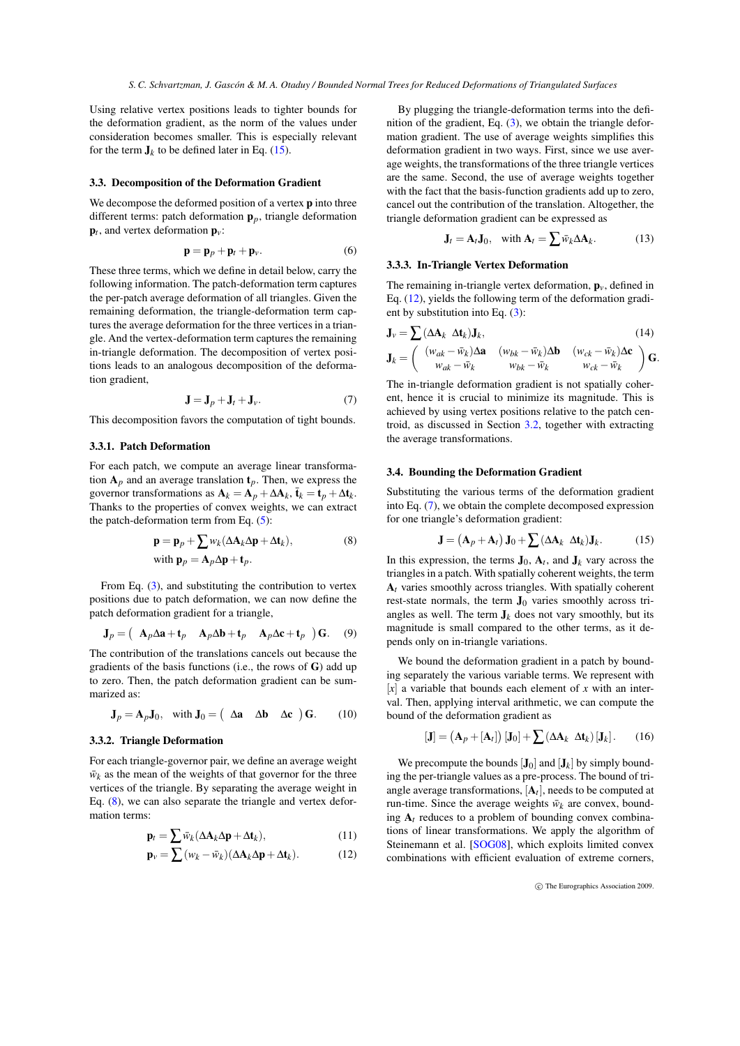Using relative vertex positions leads to tighter bounds for the deformation gradient, as the norm of the values under consideration becomes smaller. This is especially relevant for the term  $J_k$  to be defined later in Eq. [\(15\)](#page-3-0).

#### 3.3. Decomposition of the Deformation Gradient

We decompose the deformed position of a vertex **p** into three different terms: patch deformation p*p*, triangle deformation  $\mathbf{p}_t$ , and vertex deformation  $\mathbf{p}_v$ :

$$
\mathbf{p} = \mathbf{p}_p + \mathbf{p}_t + \mathbf{p}_v. \tag{6}
$$

These three terms, which we define in detail below, carry the following information. The patch-deformation term captures the per-patch average deformation of all triangles. Given the remaining deformation, the triangle-deformation term captures the average deformation for the three vertices in a triangle. And the vertex-deformation term captures the remaining in-triangle deformation. The decomposition of vertex positions leads to an analogous decomposition of the deformation gradient,

<span id="page-3-3"></span>
$$
\mathbf{J} = \mathbf{J}_p + \mathbf{J}_t + \mathbf{J}_v. \tag{7}
$$

This decomposition favors the computation of tight bounds.

## <span id="page-3-4"></span>3.3.1. Patch Deformation

For each patch, we compute an average linear transformation  $A_p$  and an average translation  $t_p$ . Then, we express the governor transformations as  $\mathbf{A}_k = \mathbf{A}_p + \Delta \mathbf{A}_k$ ,  $\bar{\mathbf{t}}_k = \mathbf{t}_p + \Delta \mathbf{t}_k$ . Thanks to the properties of convex weights, we can extract the patch-deformation term from Eq. [\(5\)](#page-2-2):

$$
\mathbf{p} = \mathbf{p}_p + \sum w_k (\Delta \mathbf{A}_k \Delta \mathbf{p} + \Delta \mathbf{t}_k),
$$
  
with 
$$
\mathbf{p}_p = \mathbf{A}_p \Delta \mathbf{p} + \mathbf{t}_p.
$$
 (8)

From Eq. [\(3\)](#page-2-3), and substituting the contribution to vertex positions due to patch deformation, we can now define the patch deformation gradient for a triangle,

$$
\mathbf{J}_p = \begin{pmatrix} \mathbf{A}_p \Delta \mathbf{a} + \mathbf{t}_p & \mathbf{A}_p \Delta \mathbf{b} + \mathbf{t}_p & \mathbf{A}_p \Delta \mathbf{c} + \mathbf{t}_p \end{pmatrix} \mathbf{G}. \quad (9)
$$

The contribution of the translations cancels out because the gradients of the basis functions (i.e., the rows of G) add up to zero. Then, the patch deformation gradient can be summarized as:

$$
\mathbf{J}_p = \mathbf{A}_p \mathbf{J}_0, \quad \text{with } \mathbf{J}_0 = \begin{pmatrix} \Delta \mathbf{a} & \Delta \mathbf{b} & \Delta \mathbf{c} \end{pmatrix} \mathbf{G}. \tag{10}
$$

## 3.3.2. Triangle Deformation

For each triangle-governor pair, we define an average weight  $\bar{w}_k$  as the mean of the weights of that governor for the three vertices of the triangle. By separating the average weight in Eq. [\(8\)](#page-3-1), we can also separate the triangle and vertex deformation terms:

$$
\mathbf{p}_t = \sum \bar{w}_k (\Delta \mathbf{A}_k \Delta \mathbf{p} + \Delta \mathbf{t}_k), \tag{11}
$$

$$
\mathbf{p}_{v} = \sum (w_{k} - \bar{w}_{k})(\Delta \mathbf{A}_{k} \Delta \mathbf{p} + \Delta \mathbf{t}_{k}). \tag{12}
$$

By plugging the triangle-deformation terms into the definition of the gradient, Eq.  $(3)$ , we obtain the triangle deformation gradient. The use of average weights simplifies this deformation gradient in two ways. First, since we use average weights, the transformations of the three triangle vertices are the same. Second, the use of average weights together with the fact that the basis-function gradients add up to zero, cancel out the contribution of the translation. Altogether, the triangle deformation gradient can be expressed as

$$
\mathbf{J}_t = \mathbf{A}_t \mathbf{J}_0, \quad \text{with } \mathbf{A}_t = \sum \bar{w}_k \Delta \mathbf{A}_k. \tag{13}
$$

# 3.3.3. In-Triangle Vertex Deformation

The remaining in-triangle vertex deformation,  $\mathbf{p}_v$ , defined in Eq. [\(12\)](#page-3-2), yields the following term of the deformation gradient by substitution into Eq. [\(3\)](#page-2-3):

$$
\mathbf{J}_{v} = \sum (\Delta \mathbf{A}_{k} \ \Delta \mathbf{t}_{k}) \mathbf{J}_{k}, \tag{14}
$$

$$
\mathbf{J}_k = \left( \begin{array}{cc} (w_{ak} - \bar{w}_k) \Delta \mathbf{a} & (w_{bk} - \bar{w}_k) \Delta \mathbf{b} & (w_{ck} - \bar{w}_k) \Delta \mathbf{c} \\ w_{ak} - \bar{w}_k & w_{bk} - \bar{w}_k & w_{ck} - \bar{w}_k \end{array} \right) \mathbf{G}.
$$

The in-triangle deformation gradient is not spatially coherent, hence it is crucial to minimize its magnitude. This is achieved by using vertex positions relative to the patch centroid, as discussed in Section [3.2,](#page-2-4) together with extracting the average transformations.

#### 3.4. Bounding the Deformation Gradient

Substituting the various terms of the deformation gradient into Eq. [\(7\)](#page-3-3), we obtain the complete decomposed expression for one triangle's deformation gradient:

<span id="page-3-0"></span>
$$
\mathbf{J} = (\mathbf{A}_p + \mathbf{A}_t) \mathbf{J}_0 + \sum (\Delta \mathbf{A}_k \ \Delta \mathbf{t}_k) \mathbf{J}_k. \tag{15}
$$

<span id="page-3-1"></span>In this expression, the terms  $J_0$ ,  $A_t$ , and  $J_k$  vary across the triangles in a patch. With spatially coherent weights, the term A*t* varies smoothly across triangles. With spatially coherent rest-state normals, the term  $J_0$  varies smoothly across triangles as well. The term  $J_k$  does not vary smoothly, but its magnitude is small compared to the other terms, as it depends only on in-triangle variations.

We bound the deformation gradient in a patch by bounding separately the various variable terms. We represent with  $[x]$  a variable that bounds each element of *x* with an interval. Then, applying interval arithmetic, we can compute the bound of the deformation gradient as

$$
[\mathbf{J}] = (\mathbf{A}_p + [\mathbf{A}_t]) [\mathbf{J}_0] + \sum (\Delta \mathbf{A}_k \ \Delta \mathbf{t}_k) [\mathbf{J}_k]. \qquad (16)
$$

<span id="page-3-2"></span>We precompute the bounds  $[J_0]$  and  $[J_k]$  by simply bounding the per-triangle values as a pre-process. The bound of triangle average transformations,  $[A_t]$ , needs to be computed at run-time. Since the average weights  $\bar{w}_k$  are convex, bounding  $A_t$  reduces to a problem of bounding convex combinations of linear transformations. We apply the algorithm of Steinemann et al. [\[SOG08\]](#page-7-24), which exploits limited convex combinations with efficient evaluation of extreme corners,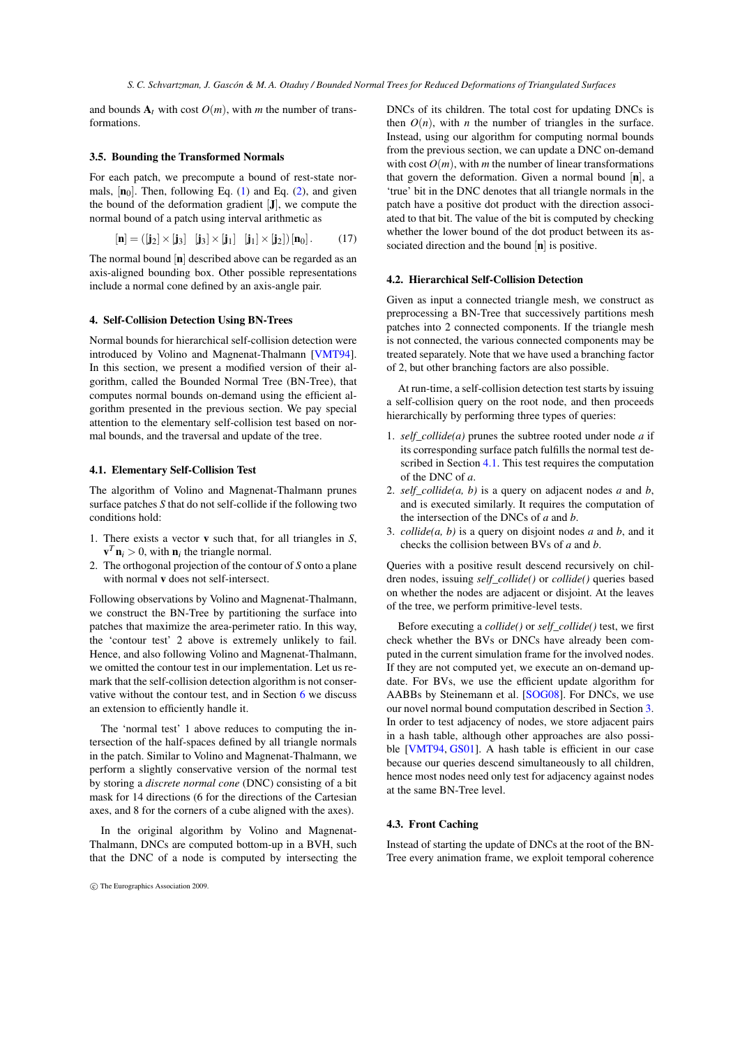and bounds  $A_t$  with cost  $O(m)$ , with *m* the number of transformations.

## 3.5. Bounding the Transformed Normals

For each patch, we precompute a bound of rest-state normals,  $[n_0]$ . Then, following Eq. [\(1\)](#page-2-5) and Eq. [\(2\)](#page-2-6), and given the bound of the deformation gradient  $[J]$ , we compute the normal bound of a patch using interval arithmetic as

$$
[\mathbf{n}] = ([\mathbf{j}_2] \times [\mathbf{j}_3] \quad [\mathbf{j}_3] \times [\mathbf{j}_1] \quad [\mathbf{j}_1] \times [\mathbf{j}_2]) [\mathbf{n}_0]. \tag{17}
$$

The normal bound [n] described above can be regarded as an axis-aligned bounding box. Other possible representations include a normal cone defined by an axis-angle pair.

# <span id="page-4-0"></span>4. Self-Collision Detection Using BN-Trees

Normal bounds for hierarchical self-collision detection were introduced by Volino and Magnenat-Thalmann [\[VMT94\]](#page-7-4). In this section, we present a modified version of their algorithm, called the Bounded Normal Tree (BN-Tree), that computes normal bounds on-demand using the efficient algorithm presented in the previous section. We pay special attention to the elementary self-collision test based on normal bounds, and the traversal and update of the tree.

# <span id="page-4-1"></span>4.1. Elementary Self-Collision Test

The algorithm of Volino and Magnenat-Thalmann prunes surface patches *S* that do not self-collide if the following two conditions hold:

- 1. There exists a vector v such that, for all triangles in *S*,  $\mathbf{v}^T \mathbf{n}_i > 0$ , with  $\mathbf{n}_i$  the triangle normal.
- 2. The orthogonal projection of the contour of *S* onto a plane with normal v does not self-intersect.

Following observations by Volino and Magnenat-Thalmann, we construct the BN-Tree by partitioning the surface into patches that maximize the area-perimeter ratio. In this way, the 'contour test' 2 above is extremely unlikely to fail. Hence, and also following Volino and Magnenat-Thalmann, we omitted the contour test in our implementation. Let us remark that the self-collision detection algorithm is not conservative without the contour test, and in Section [6](#page-6-5) we discuss an extension to efficiently handle it.

The 'normal test' 1 above reduces to computing the intersection of the half-spaces defined by all triangle normals in the patch. Similar to Volino and Magnenat-Thalmann, we perform a slightly conservative version of the normal test by storing a *discrete normal cone* (DNC) consisting of a bit mask for 14 directions (6 for the directions of the Cartesian axes, and 8 for the corners of a cube aligned with the axes).

In the original algorithm by Volino and Magnenat-Thalmann, DNCs are computed bottom-up in a BVH, such that the DNC of a node is computed by intersecting the DNCs of its children. The total cost for updating DNCs is then  $O(n)$ , with *n* the number of triangles in the surface. Instead, using our algorithm for computing normal bounds from the previous section, we can update a DNC on-demand with cost  $O(m)$ , with *m* the number of linear transformations that govern the deformation. Given a normal bound  $[n]$ , a 'true' bit in the DNC denotes that all triangle normals in the patch have a positive dot product with the direction associated to that bit. The value of the bit is computed by checking whether the lower bound of the dot product between its associated direction and the bound  $[n]$  is positive.

## 4.2. Hierarchical Self-Collision Detection

Given as input a connected triangle mesh, we construct as preprocessing a BN-Tree that successively partitions mesh patches into 2 connected components. If the triangle mesh is not connected, the various connected components may be treated separately. Note that we have used a branching factor of 2, but other branching factors are also possible.

At run-time, a self-collision detection test starts by issuing a self-collision query on the root node, and then proceeds hierarchically by performing three types of queries:

- 1. *self\_collide(a)* prunes the subtree rooted under node *a* if its corresponding surface patch fulfills the normal test described in Section [4.1.](#page-4-1) This test requires the computation of the DNC of *a*.
- 2. *self\_collide(a, b)* is a query on adjacent nodes *a* and *b*, and is executed similarly. It requires the computation of the intersection of the DNCs of *a* and *b*.
- 3. *collide(a, b)* is a query on disjoint nodes *a* and *b*, and it checks the collision between BVs of *a* and *b*.

Queries with a positive result descend recursively on children nodes, issuing *self\_collide()* or *collide()* queries based on whether the nodes are adjacent or disjoint. At the leaves of the tree, we perform primitive-level tests.

Before executing a *collide()* or *self\_collide()* test, we first check whether the BVs or DNCs have already been computed in the current simulation frame for the involved nodes. If they are not computed yet, we execute an on-demand update. For BVs, we use the efficient update algorithm for AABBs by Steinemann et al. [\[SOG08\]](#page-7-24). For DNCs, we use our novel normal bound computation described in Section [3.](#page-2-0) In order to test adjacency of nodes, we store adjacent pairs in a hash table, although other approaches are also possi-ble [\[VMT94,](#page-7-4) [GS01\]](#page-7-25). A hash table is efficient in our case because our queries descend simultaneously to all children, hence most nodes need only test for adjacency against nodes at the same BN-Tree level.

## 4.3. Front Caching

Instead of starting the update of DNCs at the root of the BN-Tree every animation frame, we exploit temporal coherence

c The Eurographics Association 2009.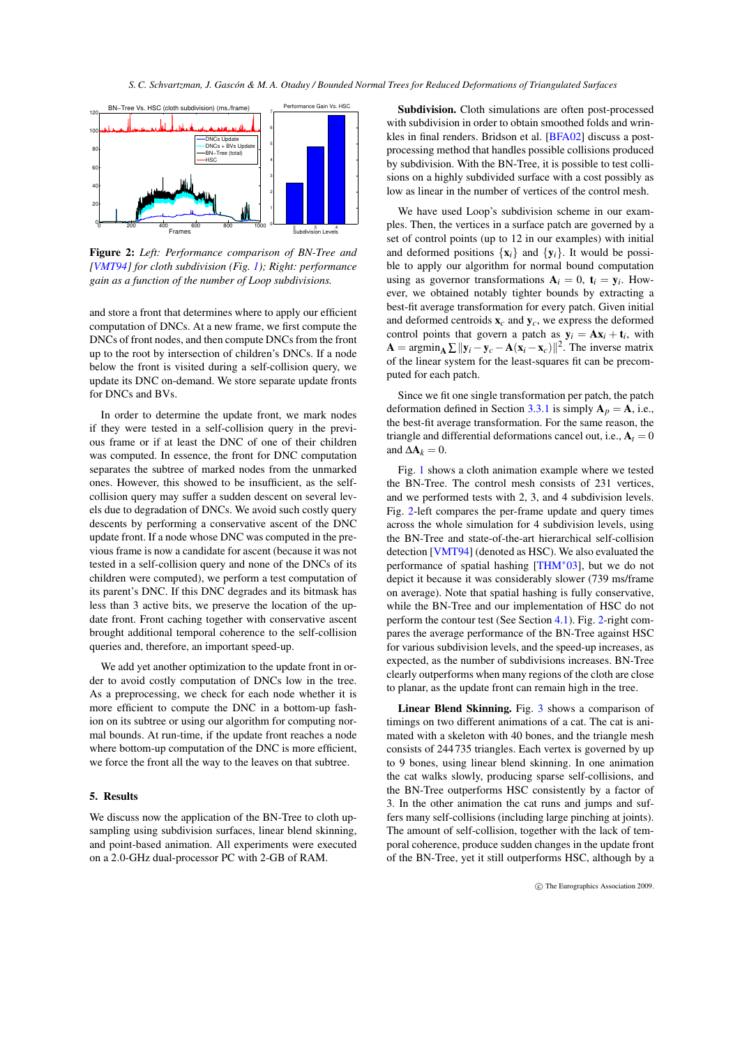*S. C. Schvartzman, J. Gascón & M. A. Otaduy / Bounded Normal Trees for Reduced Deformations of Triangulated Surfaces*



<span id="page-5-0"></span>Figure 2: *Left: Performance comparison of BN-Tree and [\[VMT94\]](#page-7-4) for cloth subdivision (Fig. [1\)](#page-1-0); Right: performance gain as a function of the number of Loop subdivisions.*

and store a front that determines where to apply our efficient computation of DNCs. At a new frame, we first compute the DNCs of front nodes, and then compute DNCs from the front up to the root by intersection of children's DNCs. If a node below the front is visited during a self-collision query, we update its DNC on-demand. We store separate update fronts for DNCs and BVs.

In order to determine the update front, we mark nodes if they were tested in a self-collision query in the previous frame or if at least the DNC of one of their children was computed. In essence, the front for DNC computation separates the subtree of marked nodes from the unmarked ones. However, this showed to be insufficient, as the selfcollision query may suffer a sudden descent on several levels due to degradation of DNCs. We avoid such costly query descents by performing a conservative ascent of the DNC update front. If a node whose DNC was computed in the previous frame is now a candidate for ascent (because it was not tested in a self-collision query and none of the DNCs of its children were computed), we perform a test computation of its parent's DNC. If this DNC degrades and its bitmask has less than 3 active bits, we preserve the location of the update front. Front caching together with conservative ascent brought additional temporal coherence to the self-collision queries and, therefore, an important speed-up.

We add yet another optimization to the update front in order to avoid costly computation of DNCs low in the tree. As a preprocessing, we check for each node whether it is more efficient to compute the DNC in a bottom-up fashion on its subtree or using our algorithm for computing normal bounds. At run-time, if the update front reaches a node where bottom-up computation of the DNC is more efficient, we force the front all the way to the leaves on that subtree.

# 5. Results

We discuss now the application of the BN-Tree to cloth upsampling using subdivision surfaces, linear blend skinning, and point-based animation. All experiments were executed on a 2.0-GHz dual-processor PC with 2-GB of RAM.

Subdivision. Cloth simulations are often post-processed with subdivision in order to obtain smoothed folds and wrinkles in final renders. Bridson et al. [\[BFA02\]](#page-6-0) discuss a postprocessing method that handles possible collisions produced by subdivision. With the BN-Tree, it is possible to test collisions on a highly subdivided surface with a cost possibly as low as linear in the number of vertices of the control mesh.

We have used Loop's subdivision scheme in our examples. Then, the vertices in a surface patch are governed by a set of control points (up to 12 in our examples) with initial and deformed positions  $\{x_i\}$  and  $\{y_i\}$ . It would be possible to apply our algorithm for normal bound computation using as governor transformations  $A_i = 0$ ,  $t_i = y_i$ . However, we obtained notably tighter bounds by extracting a best-fit average transformation for every patch. Given initial and deformed centroids x*c* and y*c*, we express the deformed control points that govern a patch as  $y_i = Ax_i + t_i$ , with  $\mathbf{A} = \operatorname{argmin}_{\mathbf{A}} \sum ||\mathbf{y}_i - \mathbf{y}_c - \mathbf{A}(\mathbf{x}_i - \mathbf{x}_c)||^2$ . The inverse matrix of the linear system for the least-squares fit can be precomputed for each patch.

Since we fit one single transformation per patch, the patch deformation defined in Section [3.3.1](#page-3-4) is simply  $A_p = A$ , i.e., the best-fit average transformation. For the same reason, the triangle and differential deformations cancel out, i.e.,  $A_t = 0$ and  $\Delta A_k = 0$ .

Fig. [1](#page-1-0) shows a cloth animation example where we tested the BN-Tree. The control mesh consists of 231 vertices, and we performed tests with 2, 3, and 4 subdivision levels. Fig. [2-](#page-5-0)left compares the per-frame update and query times across the whole simulation for 4 subdivision levels, using the BN-Tree and state-of-the-art hierarchical self-collision detection [\[VMT94\]](#page-7-4) (denoted as HSC). We also evaluated the performance of spatial hashing [\[THM](#page-7-12)∗03], but we do not depict it because it was considerably slower (739 ms/frame on average). Note that spatial hashing is fully conservative, while the BN-Tree and our implementation of HSC do not perform the contour test (See Section [4.1\)](#page-4-1). Fig. [2-](#page-5-0)right compares the average performance of the BN-Tree against HSC for various subdivision levels, and the speed-up increases, as expected, as the number of subdivisions increases. BN-Tree clearly outperforms when many regions of the cloth are close to planar, as the update front can remain high in the tree.

Linear Blend Skinning. Fig. [3](#page-6-6) shows a comparison of timings on two different animations of a cat. The cat is animated with a skeleton with 40 bones, and the triangle mesh consists of 244 735 triangles. Each vertex is governed by up to 9 bones, using linear blend skinning. In one animation the cat walks slowly, producing sparse self-collisions, and the BN-Tree outperforms HSC consistently by a factor of 3. In the other animation the cat runs and jumps and suffers many self-collisions (including large pinching at joints). The amount of self-collision, together with the lack of temporal coherence, produce sudden changes in the update front of the BN-Tree, yet it still outperforms HSC, although by a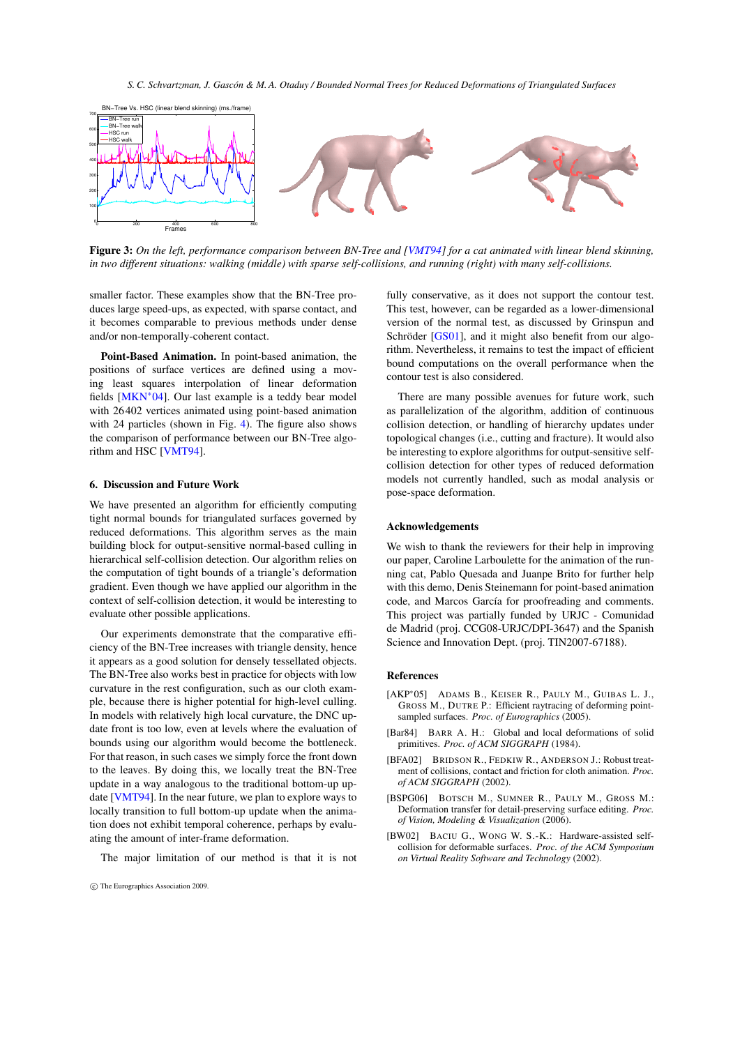

<span id="page-6-6"></span>Figure 3: On the left, performance comparison between BN-Tree and [\[VMT94\]](#page-7-4) for a cat animated with linear blend skinning, *in two different situations: walking (middle) with sparse self-collisions, and running (right) with many self-collisions.*

smaller factor. These examples show that the BN-Tree produces large speed-ups, as expected, with sparse contact, and it becomes comparable to previous methods under dense and/or non-temporally-coherent contact.

Point-Based Animation. In point-based animation, the positions of surface vertices are defined using a moving least squares interpolation of linear deformation fields [\[MKN](#page-7-3)∗04]. Our last example is a teddy bear model with 26 402 vertices animated using point-based animation with 24 particles (shown in Fig. [4\)](#page-7-27). The figure also shows the comparison of performance between our BN-Tree algorithm and HSC [\[VMT94\]](#page-7-4).

## <span id="page-6-5"></span>6. Discussion and Future Work

We have presented an algorithm for efficiently computing tight normal bounds for triangulated surfaces governed by reduced deformations. This algorithm serves as the main building block for output-sensitive normal-based culling in hierarchical self-collision detection. Our algorithm relies on the computation of tight bounds of a triangle's deformation gradient. Even though we have applied our algorithm in the context of self-collision detection, it would be interesting to evaluate other possible applications.

Our experiments demonstrate that the comparative efficiency of the BN-Tree increases with triangle density, hence it appears as a good solution for densely tessellated objects. The BN-Tree also works best in practice for objects with low curvature in the rest configuration, such as our cloth example, because there is higher potential for high-level culling. In models with relatively high local curvature, the DNC update front is too low, even at levels where the evaluation of bounds using our algorithm would become the bottleneck. For that reason, in such cases we simply force the front down to the leaves. By doing this, we locally treat the BN-Tree update in a way analogous to the traditional bottom-up update [\[VMT94\]](#page-7-4). In the near future, we plan to explore ways to locally transition to full bottom-up update when the animation does not exhibit temporal coherence, perhaps by evaluating the amount of inter-frame deformation.

The major limitation of our method is that it is not

fully conservative, as it does not support the contour test. This test, however, can be regarded as a lower-dimensional version of the normal test, as discussed by Grinspun and Schröder [\[GS01\]](#page-7-25), and it might also benefit from our algorithm. Nevertheless, it remains to test the impact of efficient bound computations on the overall performance when the contour test is also considered.

There are many possible avenues for future work, such as parallelization of the algorithm, addition of continuous collision detection, or handling of hierarchy updates under topological changes (i.e., cutting and fracture). It would also be interesting to explore algorithms for output-sensitive selfcollision detection for other types of reduced deformation models not currently handled, such as modal analysis or pose-space deformation.

#### Acknowledgements

We wish to thank the reviewers for their help in improving our paper, Caroline Larboulette for the animation of the running cat, Pablo Quesada and Juanpe Brito for further help with this demo, Denis Steinemann for point-based animation code, and Marcos García for proofreading and comments. This project was partially funded by URJC - Comunidad de Madrid (proj. CCG08-URJC/DPI-3647) and the Spanish Science and Innovation Dept. (proj. TIN2007-67188).

## References

- <span id="page-6-2"></span>[AKP∗05] ADAMS B., KEISER R., PAULY M., GUIBAS L. J., GROSS M., DUTRE P.: Efficient raytracing of deforming pointsampled surfaces. *Proc. of Eurographics* (2005).
- <span id="page-6-3"></span>[Bar84] BARR A. H.: Global and local deformations of solid primitives. *Proc. of ACM SIGGRAPH* (1984).
- <span id="page-6-0"></span>[BFA02] BRIDSON R., FEDKIW R., ANDERSON J.: Robust treatment of collisions, contact and friction for cloth animation. *Proc. of ACM SIGGRAPH* (2002).
- <span id="page-6-4"></span>[BSPG06] BOTSCH M., SUMNER R., PAULY M., GROSS M.: Deformation transfer for detail-preserving surface editing. *Proc. of Vision, Modeling & Visualization* (2006).
- <span id="page-6-1"></span>[BW02] BACIU G., WONG W. S.-K.: Hardware-assisted selfcollision for deformable surfaces. *Proc. of the ACM Symposium on Virtual Reality Software and Technology* (2002).

c The Eurographics Association 2009.